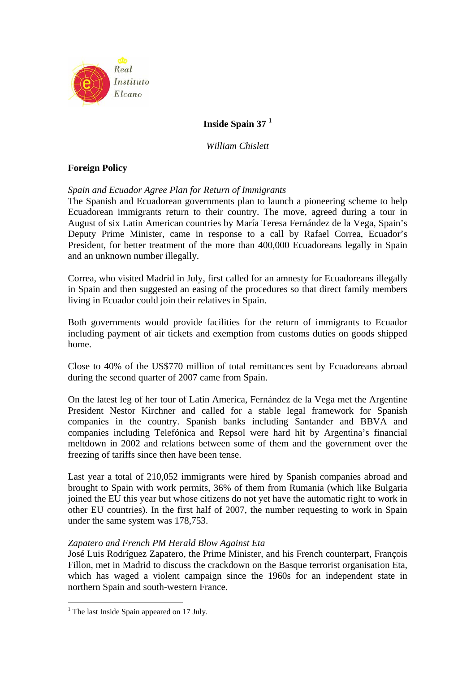

# **Inside Spain 37 1**

*William Chislett* 

# **Foreign Policy**

## *Spain and Ecuador Agree Plan for Return of Immigrants*

The Spanish and Ecuadorean governments plan to launch a pioneering scheme to help Ecuadorean immigrants return to their country. The move, agreed during a tour in August of six Latin American countries by María Teresa Fernández de la Vega, Spain's Deputy Prime Minister, came in response to a call by Rafael Correa, Ecuador's President, for better treatment of the more than 400,000 Ecuadoreans legally in Spain and an unknown number illegally.

Correa, who visited Madrid in July, first called for an amnesty for Ecuadoreans illegally in Spain and then suggested an easing of the procedures so that direct family members living in Ecuador could join their relatives in Spain.

Both governments would provide facilities for the return of immigrants to Ecuador including payment of air tickets and exemption from customs duties on goods shipped home.

Close to 40% of the US\$770 million of total remittances sent by Ecuadoreans abroad during the second quarter of 2007 came from Spain.

On the latest leg of her tour of Latin America, Fernández de la Vega met the Argentine President Nestor Kirchner and called for a stable legal framework for Spanish companies in the country. Spanish banks including Santander and BBVA and companies including Telefónica and Repsol were hard hit by Argentina's financial meltdown in 2002 and relations between some of them and the government over the freezing of tariffs since then have been tense.

Last year a total of 210,052 immigrants were hired by Spanish companies abroad and brought to Spain with work permits, 36% of them from Rumania (which like Bulgaria joined the EU this year but whose citizens do not yet have the automatic right to work in other EU countries). In the first half of 2007, the number requesting to work in Spain under the same system was 178,753.

## *Zapatero and French PM Herald Blow Against Eta*

José Luis Rodríguez Zapatero, the Prime Minister, and his French counterpart, François Fillon, met in Madrid to discuss the crackdown on the Basque terrorist organisation Eta, which has waged a violent campaign since the 1960s for an independent state in northern Spain and south-western France.

<sup>&</sup>lt;sup>1</sup> The last Inside Spain appeared on 17 July.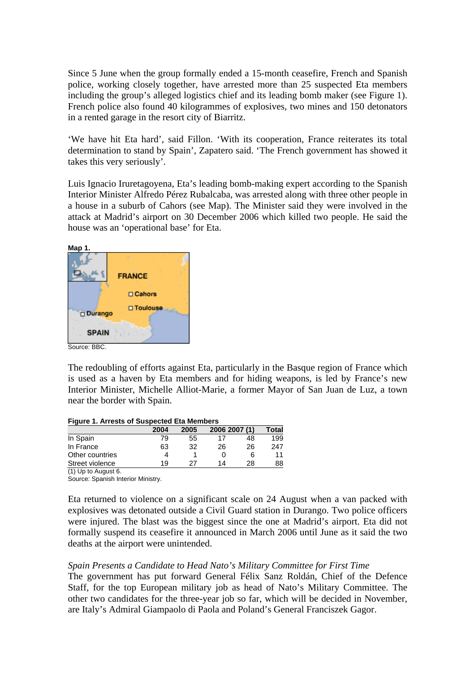Since 5 June when the group formally ended a 15-month ceasefire, French and Spanish police, working closely together, have arrested more than 25 suspected Eta members including the group's alleged logistics chief and its leading bomb maker (see Figure 1). French police also found 40 kilogrammes of explosives, two mines and 150 detonators in a rented garage in the resort city of Biarritz.

'We have hit Eta hard', said Fillon. 'With its cooperation, France reiterates its total determination to stand by Spain', Zapatero said. 'The French government has showed it takes this very seriously'.

Luis Ignacio Iruretagoyena, Eta's leading bomb-making expert according to the Spanish Interior Minister Alfredo Pérez Rubalcaba, was arrested along with three other people in a house in a suburb of Cahors (see Map). The Minister said they were involved in the attack at Madrid's airport on 30 December 2006 which killed two people. He said the house was an 'operational base' for Eta.



The redoubling of efforts against Eta, particularly in the Basque region of France which is used as a haven by Eta members and for hiding weapons, is led by France's new Interior Minister, Michelle Alliot-Marie, a former Mayor of San Juan de Luz, a town near the border with Spain.

| <b>Figure 1. Arrests of Suspected Eta Members</b> |  |  |
|---------------------------------------------------|--|--|
|                                                   |  |  |

|                               | 2004 | 2005 |    | 2006 2007 (1) | Total |
|-------------------------------|------|------|----|---------------|-------|
| In Spain                      | 79   | 55   |    | 48            | 199   |
| In France                     | 63   | 32   | 26 | 26            | 247   |
| Other countries               |      |      | U  | 6             | 11    |
| Street violence               | 19   | 27   | 14 | 28            | 88    |
| $(4)$ $11 - 1 - 1$ , $11 - 1$ |      |      |    |               |       |

(1) Up to August 6.

Source: Spanish Interior Ministry.

Eta returned to violence on a significant scale on 24 August when a van packed with explosives was detonated outside a Civil Guard station in Durango. Two police officers were injured. The blast was the biggest since the one at Madrid's airport. Eta did not formally suspend its ceasefire it announced in March 2006 until June as it said the two deaths at the airport were unintended.

## *Spain Presents a Candidate to Head Nato's Military Committee for First Time*

The government has put forward General Félix Sanz Roldán, Chief of the Defence Staff, for the top European military job as head of Nato's Military Committee. The other two candidates for the three-year job so far, which will be decided in November, are Italy's Admiral Giampaolo di Paola and Poland's General Franciszek Gagor.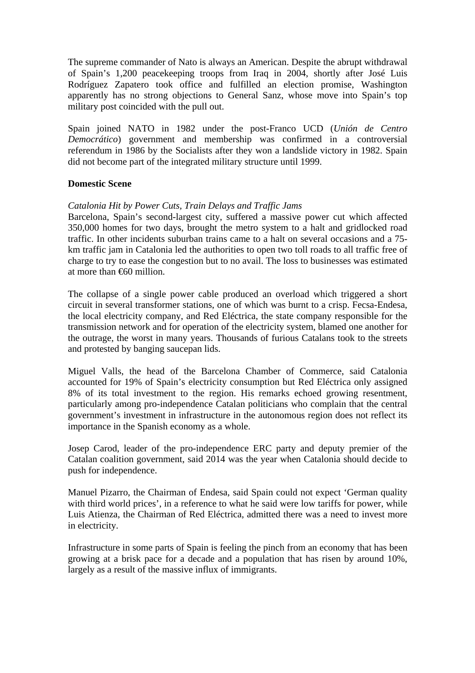The supreme commander of Nato is always an American. Despite the abrupt withdrawal of Spain's 1,200 peacekeeping troops from Iraq in 2004, shortly after José Luis Rodríguez Zapatero took office and fulfilled an election promise, Washington apparently has no strong objections to General Sanz, whose move into Spain's top military post coincided with the pull out.

Spain joined NATO in 1982 under the post-Franco UCD (*Unión de Centro Democrático*) government and membership was confirmed in a controversial referendum in 1986 by the Socialists after they won a landslide victory in 1982. Spain did not become part of the integrated military structure until 1999.

## **Domestic Scene**

## *Catalonia Hit by Power Cuts, Train Delays and Traffic Jams*

Barcelona, Spain's second-largest city, suffered a massive power cut which affected 350,000 homes for two days, brought the metro system to a halt and gridlocked road traffic. In other incidents suburban trains came to a halt on several occasions and a 75 km traffic jam in Catalonia led the authorities to open two toll roads to all traffic free of charge to try to ease the congestion but to no avail. The loss to businesses was estimated at more than €60 million.

The collapse of a single power cable produced an overload which triggered a short circuit in several transformer stations, one of which was burnt to a crisp. Fecsa-Endesa, the local electricity company, and Red Eléctrica, the state company responsible for the transmission network and for operation of the electricity system, blamed one another for the outrage, the worst in many years. Thousands of furious Catalans took to the streets and protested by banging saucepan lids.

Miguel Valls, the head of the Barcelona Chamber of Commerce, said Catalonia accounted for 19% of Spain's electricity consumption but Red Eléctrica only assigned 8% of its total investment to the region. His remarks echoed growing resentment, particularly among pro-independence Catalan politicians who complain that the central government's investment in infrastructure in the autonomous region does not reflect its importance in the Spanish economy as a whole.

Josep Carod, leader of the pro-independence ERC party and deputy premier of the Catalan coalition government, said 2014 was the year when Catalonia should decide to push for independence.

Manuel Pizarro, the Chairman of Endesa, said Spain could not expect 'German quality with third world prices', in a reference to what he said were low tariffs for power, while Luis Atienza, the Chairman of Red Eléctrica, admitted there was a need to invest more in electricity.

Infrastructure in some parts of Spain is feeling the pinch from an economy that has been growing at a brisk pace for a decade and a population that has risen by around 10%, largely as a result of the massive influx of immigrants.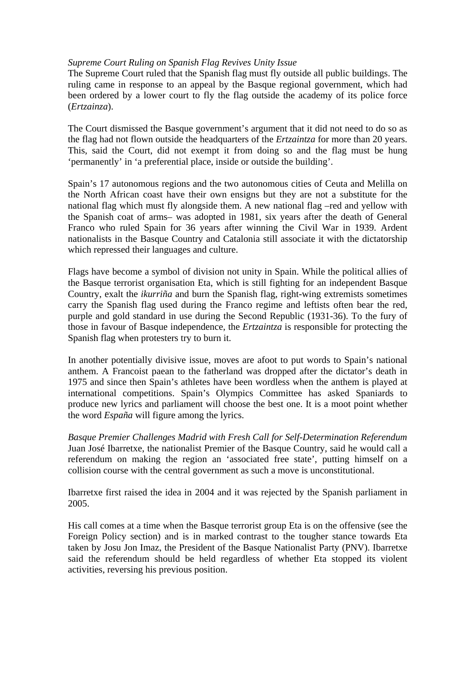### *Supreme Court Ruling on Spanish Flag Revives Unity Issue*

The Supreme Court ruled that the Spanish flag must fly outside all public buildings. The ruling came in response to an appeal by the Basque regional government, which had been ordered by a lower court to fly the flag outside the academy of its police force (*Ertzainza*).

The Court dismissed the Basque government's argument that it did not need to do so as the flag had not flown outside the headquarters of the *Ertzaintza* for more than 20 years. This, said the Court, did not exempt it from doing so and the flag must be hung 'permanently' in 'a preferential place, inside or outside the building'.

Spain's 17 autonomous regions and the two autonomous cities of Ceuta and Melilla on the North African coast have their own ensigns but they are not a substitute for the national flag which must fly alongside them. A new national flag –red and yellow with the Spanish coat of arms– was adopted in 1981, six years after the death of General Franco who ruled Spain for 36 years after winning the Civil War in 1939. Ardent nationalists in the Basque Country and Catalonia still associate it with the dictatorship which repressed their languages and culture.

Flags have become a symbol of division not unity in Spain. While the political allies of the Basque terrorist organisation Eta, which is still fighting for an independent Basque Country, exalt the *ikurriña* and burn the Spanish flag, right-wing extremists sometimes carry the Spanish flag used during the Franco regime and leftists often bear the red, purple and gold standard in use during the Second Republic (1931-36). To the fury of those in favour of Basque independence, the *Ertzaintza* is responsible for protecting the Spanish flag when protesters try to burn it.

In another potentially divisive issue, moves are afoot to put words to Spain's national anthem. A Francoist paean to the fatherland was dropped after the dictator's death in 1975 and since then Spain's athletes have been wordless when the anthem is played at international competitions. Spain's Olympics Committee has asked Spaniards to produce new lyrics and parliament will choose the best one. It is a moot point whether the word *España* will figure among the lyrics.

*Basque Premier Challenges Madrid with Fresh Call for Self-Determination Referendum*  Juan José Ibarretxe, the nationalist Premier of the Basque Country, said he would call a referendum on making the region an 'associated free state', putting himself on a collision course with the central government as such a move is unconstitutional.

Ibarretxe first raised the idea in 2004 and it was rejected by the Spanish parliament in 2005.

His call comes at a time when the Basque terrorist group Eta is on the offensive (see the Foreign Policy section) and is in marked contrast to the tougher stance towards Eta taken by Josu Jon Imaz, the President of the Basque Nationalist Party (PNV). Ibarretxe said the referendum should be held regardless of whether Eta stopped its violent activities, reversing his previous position.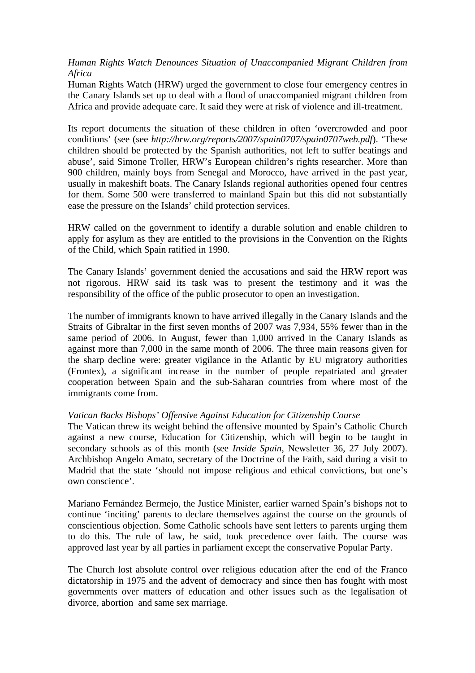## *Human Rights Watch Denounces Situation of Unaccompanied Migrant Children from Africa*

Human Rights Watch (HRW) urged the government to close four emergency centres in the Canary Islands set up to deal with a flood of unaccompanied migrant children from Africa and provide adequate care. It said they were at risk of violence and ill-treatment.

Its report documents the situation of these children in often 'overcrowded and poor conditions' (see (see *http://hrw.org/reports/2007/spain0707/spain0707web.pdf*). 'These children should be protected by the Spanish authorities, not left to suffer beatings and abuse', said Simone Troller, HRW's European children's rights researcher. More than 900 children, mainly boys from Senegal and Morocco, have arrived in the past year, usually in makeshift boats. The Canary Islands regional authorities opened four centres for them. Some 500 were transferred to mainland Spain but this did not substantially ease the pressure on the Islands' child protection services.

HRW called on the government to identify a durable solution and enable children to apply for asylum as they are entitled to the provisions in the Convention on the Rights of the Child, which Spain ratified in 1990.

The Canary Islands' government denied the accusations and said the HRW report was not rigorous. HRW said its task was to present the testimony and it was the responsibility of the office of the public prosecutor to open an investigation.

The number of immigrants known to have arrived illegally in the Canary Islands and the Straits of Gibraltar in the first seven months of 2007 was 7,934, 55% fewer than in the same period of 2006. In August, fewer than 1,000 arrived in the Canary Islands as against more than 7,000 in the same month of 2006. The three main reasons given for the sharp decline were: greater vigilance in the Atlantic by EU migratory authorities (Frontex), a significant increase in the number of people repatriated and greater cooperation between Spain and the sub-Saharan countries from where most of the immigrants come from.

## *Vatican Backs Bishops' Offensive Against Education for Citizenship Course*

The Vatican threw its weight behind the offensive mounted by Spain's Catholic Church against a new course, Education for Citizenship, which will begin to be taught in secondary schools as of this month (see *Inside Spain*, Newsletter 36, 27 July 2007). Archbishop Angelo Amato, secretary of the Doctrine of the Faith, said during a visit to Madrid that the state 'should not impose religious and ethical convictions, but one's own conscience'.

Mariano Fernández Bermejo, the Justice Minister, earlier warned Spain's bishops not to continue 'inciting' parents to declare themselves against the course on the grounds of conscientious objection. Some Catholic schools have sent letters to parents urging them to do this. The rule of law, he said, took precedence over faith. The course was approved last year by all parties in parliament except the conservative Popular Party.

The Church lost absolute control over religious education after the end of the Franco dictatorship in 1975 and the advent of democracy and since then has fought with most governments over matters of education and other issues such as the legalisation of divorce, abortion and same sex marriage.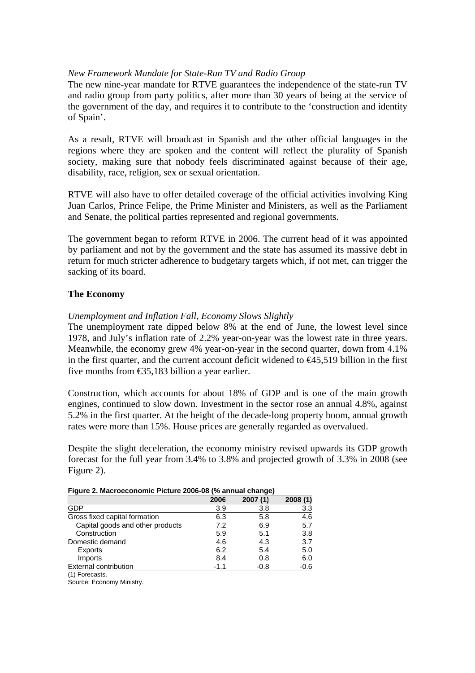### *New Framework Mandate for State-Run TV and Radio Group*

The new nine-year mandate for RTVE guarantees the independence of the state-run TV and radio group from party politics, after more than 30 years of being at the service of the government of the day, and requires it to contribute to the 'construction and identity of Spain'.

As a result, RTVE will broadcast in Spanish and the other official languages in the regions where they are spoken and the content will reflect the plurality of Spanish society, making sure that nobody feels discriminated against because of their age, disability, race, religion, sex or sexual orientation.

RTVE will also have to offer detailed coverage of the official activities involving King Juan Carlos, Prince Felipe, the Prime Minister and Ministers, as well as the Parliament and Senate, the political parties represented and regional governments.

The government began to reform RTVE in 2006. The current head of it was appointed by parliament and not by the government and the state has assumed its massive debt in return for much stricter adherence to budgetary targets which, if not met, can trigger the sacking of its board.

## **The Economy**

#### *Unemployment and Inflation Fall, Economy Slows Slightly*

The unemployment rate dipped below 8% at the end of June, the lowest level since 1978, and July's inflation rate of 2.2% year-on-year was the lowest rate in three years. Meanwhile, the economy grew 4% year-on-year in the second quarter, down from 4.1% in the first quarter, and the current account deficit widened to  $\epsilon$ 45,519 billion in the first five months from €35,183 billion a year earlier.

Construction, which accounts for about 18% of GDP and is one of the main growth engines, continued to slow down. Investment in the sector rose an annual 4.8%, against 5.2% in the first quarter. At the height of the decade-long property boom, annual growth rates were more than 15%. House prices are generally regarded as overvalued.

Despite the slight deceleration, the economy ministry revised upwards its GDP growth forecast for the full year from 3.4% to 3.8% and projected growth of 3.3% in 2008 (see Figure 2).

| .                                |        |        |        |
|----------------------------------|--------|--------|--------|
|                                  | 2006   | 2007   | 2008   |
| GDP                              | 3.9    | 3.8    | 3.3    |
| Gross fixed capital formation    | 6.3    | 5.8    | 4.6    |
| Capital goods and other products | 7.2    | 6.9    | 5.7    |
| Construction                     | 5.9    | 5.1    | 3.8    |
| Domestic demand                  | 4.6    | 4.3    | 3.7    |
| Exports                          | 6.2    | 5.4    | 5.0    |
| Imports                          | 8.4    | 0.8    | 6.0    |
| External contribution            | $-1.1$ | $-0.8$ | $-0.6$ |
| $(1)$ Forecasts                  |        |        |        |

#### **Figure 2. Macroeconomic Picture 2006-08 (% annual change)**

Source: Economy Ministry.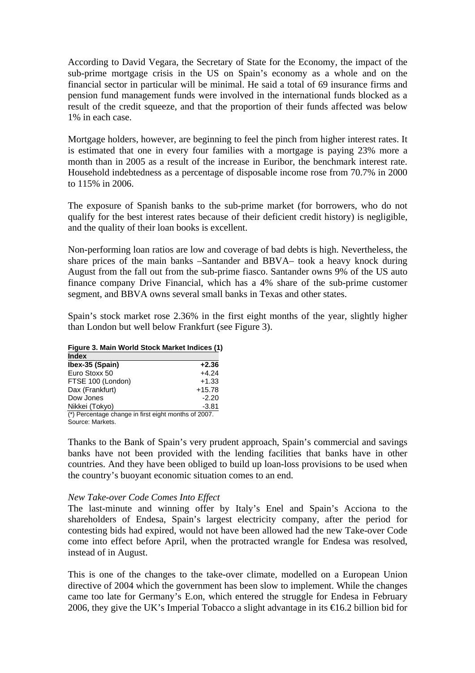According to David Vegara, the Secretary of State for the Economy, the impact of the sub-prime mortgage crisis in the US on Spain's economy as a whole and on the financial sector in particular will be minimal. He said a total of 69 insurance firms and pension fund management funds were involved in the international funds blocked as a result of the credit squeeze, and that the proportion of their funds affected was below 1% in each case.

Mortgage holders, however, are beginning to feel the pinch from higher interest rates. It is estimated that one in every four families with a mortgage is paying 23% more a month than in 2005 as a result of the increase in Euribor, the benchmark interest rate. Household indebtedness as a percentage of disposable income rose from 70.7% in 2000 to 115% in 2006.

The exposure of Spanish banks to the sub-prime market (for borrowers, who do not qualify for the best interest rates because of their deficient credit history) is negligible, and the quality of their loan books is excellent.

Non-performing loan ratios are low and coverage of bad debts is high. Nevertheless, the share prices of the main banks –Santander and BBVA– took a heavy knock during August from the fall out from the sub-prime fiasco. Santander owns 9% of the US auto finance company Drive Financial, which has a 4% share of the sub-prime customer segment, and BBVA owns several small banks in Texas and other states.

Spain's stock market rose 2.36% in the first eight months of the year, slightly higher than London but well below Frankfurt (see Figure 3).

#### **Figure 3. Main World Stock Market Indices (1)**

| <b>Index</b>                                         |          |
|------------------------------------------------------|----------|
| Ibex-35 (Spain)                                      | $+2.36$  |
| Euro Stoxx 50                                        | $+4.24$  |
| FTSE 100 (London)                                    | $+1.33$  |
| Dax (Frankfurt)                                      | $+15.78$ |
| Dow Jones                                            | $-2.20$  |
| Nikkei (Tokyo)                                       | $-3.81$  |
| (*) Percentage change in first eight months of 2007. |          |

Source: Markets.

Thanks to the Bank of Spain's very prudent approach, Spain's commercial and savings banks have not been provided with the lending facilities that banks have in other countries. And they have been obliged to build up loan-loss provisions to be used when the country's buoyant economic situation comes to an end.

#### *New Take-over Code Comes Into Effect*

The last-minute and winning offer by Italy's Enel and Spain's Acciona to the shareholders of Endesa, Spain's largest electricity company, after the period for contesting bids had expired, would not have been allowed had the new Take-over Code come into effect before April, when the protracted wrangle for Endesa was resolved, instead of in August.

This is one of the changes to the take-over climate, modelled on a European Union directive of 2004 which the government has been slow to implement. While the changes came too late for Germany's E.on, which entered the struggle for Endesa in February 2006, they give the UK's Imperial Tobacco a slight advantage in its  $\epsilon$  6.2 billion bid for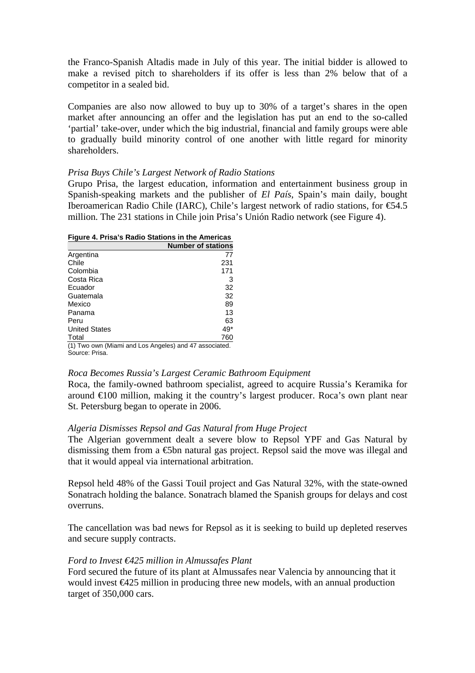the Franco-Spanish Altadis made in July of this year. The initial bidder is allowed to make a revised pitch to shareholders if its offer is less than 2% below that of a competitor in a sealed bid.

Companies are also now allowed to buy up to 30% of a target's shares in the open market after announcing an offer and the legislation has put an end to the so-called 'partial' take-over, under which the big industrial, financial and family groups were able to gradually build minority control of one another with little regard for minority shareholders.

#### *Prisa Buys Chile's Largest Network of Radio Stations*

Grupo Prisa, the largest education, information and entertainment business group in Spanish-speaking markets and the publisher of *El País*, Spain's main daily, bought Iberoamerican Radio Chile (IARC), Chile's largest network of radio stations, for €54.5 million. The 231 stations in Chile join Prisa's Unión Radio network (see Figure 4).

**Figure 4. Prisa's Radio Stations in the Americas** 

|                                                        | <b>Number of stations</b> |
|--------------------------------------------------------|---------------------------|
| Argentina                                              | 77                        |
| Chile                                                  | 231                       |
| Colombia                                               | 171                       |
| Costa Rica                                             | 3                         |
| Ecuador                                                | 32                        |
| Guatemala                                              | 32                        |
| Mexico                                                 | 89                        |
| Panama                                                 | 13                        |
| Peru                                                   | 63                        |
| <b>United States</b>                                   | 49*                       |
| Total                                                  | 760                       |
| (1) Two own (Miami and Los Angeles) and 47 associated. |                           |
| Source: Prisa                                          |                           |

#### *Roca Becomes Russia's Largest Ceramic Bathroom Equipment*

Roca, the family-owned bathroom specialist, agreed to acquire Russia's Keramika for around €100 million, making it the country's largest producer. Roca's own plant near St. Petersburg began to operate in 2006.

#### *Algeria Dismisses Repsol and Gas Natural from Huge Project*

The Algerian government dealt a severe blow to Repsol YPF and Gas Natural by dismissing them from a  $\epsilon$ 5bn natural gas project. Repsol said the move was illegal and that it would appeal via international arbitration.

Repsol held 48% of the Gassi Touil project and Gas Natural 32%, with the state-owned Sonatrach holding the balance. Sonatrach blamed the Spanish groups for delays and cost overruns.

The cancellation was bad news for Repsol as it is seeking to build up depleted reserves and secure supply contracts.

#### *Ford to Invest €425 million in Almussafes Plant*

Ford secured the future of its plant at Almussafes near Valencia by announcing that it would invest €425 million in producing three new models, with an annual production target of 350,000 cars.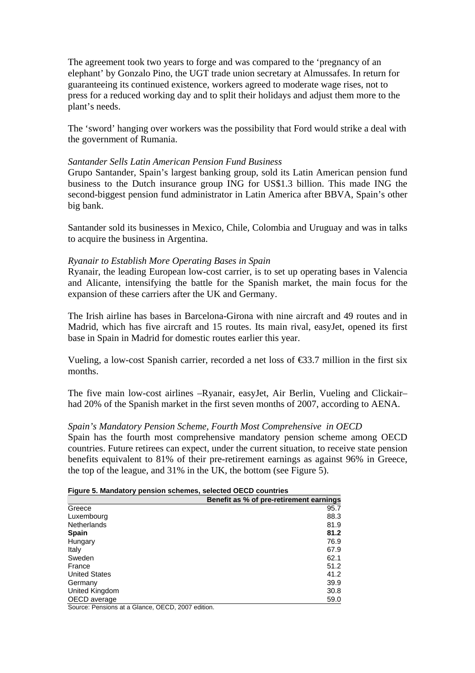The agreement took two years to forge and was compared to the 'pregnancy of an elephant' by Gonzalo Pino, the UGT trade union secretary at Almussafes. In return for guaranteeing its continued existence, workers agreed to moderate wage rises, not to press for a reduced working day and to split their holidays and adjust them more to the plant's needs.

The 'sword' hanging over workers was the possibility that Ford would strike a deal with the government of Rumania.

#### *Santander Sells Latin American Pension Fund Business*

Grupo Santander, Spain's largest banking group, sold its Latin American pension fund business to the Dutch insurance group ING for US\$1.3 billion. This made ING the second-biggest pension fund administrator in Latin America after BBVA, Spain's other big bank.

Santander sold its businesses in Mexico, Chile, Colombia and Uruguay and was in talks to acquire the business in Argentina.

#### *Ryanair to Establish More Operating Bases in Spain*

Ryanair, the leading European low-cost carrier, is to set up operating bases in Valencia and Alicante, intensifying the battle for the Spanish market, the main focus for the expansion of these carriers after the UK and Germany.

The Irish airline has bases in Barcelona-Girona with nine aircraft and 49 routes and in Madrid, which has five aircraft and 15 routes. Its main rival, easyJet, opened its first base in Spain in Madrid for domestic routes earlier this year.

Vueling, a low-cost Spanish carrier, recorded a net loss of  $\epsilon$ 3.7 million in the first six months.

The five main low-cost airlines –Ryanair, easyJet, Air Berlin, Vueling and Clickair– had 20% of the Spanish market in the first seven months of 2007, according to AENA.

## *Spain's Mandatory Pension Scheme, Fourth Most Comprehensive in OECD*

Spain has the fourth most comprehensive mandatory pension scheme among OECD countries. Future retirees can expect, under the current situation, to receive state pension benefits equivalent to 81% of their pre-retirement earnings as against 96% in Greece, the top of the league, and 31% in the UK, the bottom (see Figure 5).

|  |  | Figure 5. Mandatory pension schemes, selected OECD countries |
|--|--|--------------------------------------------------------------|
|--|--|--------------------------------------------------------------|

|                                                   | Benefit as % of pre-retirement earnings |
|---------------------------------------------------|-----------------------------------------|
| Greece                                            | 95.7                                    |
| Luxembourg                                        | 88.3                                    |
| Netherlands                                       | 81.9                                    |
| <b>Spain</b>                                      | 81.2                                    |
| Hungary                                           | 76.9                                    |
| Italy                                             | 67.9                                    |
| Sweden                                            | 62.1                                    |
| France                                            | 51.2                                    |
| <b>United States</b>                              | 41.2                                    |
| Germany                                           | 39.9                                    |
| United Kingdom                                    | 30.8                                    |
| OECD average                                      | 59.0                                    |
| Source: Pensions at a Glance, OECD, 2007 edition. |                                         |